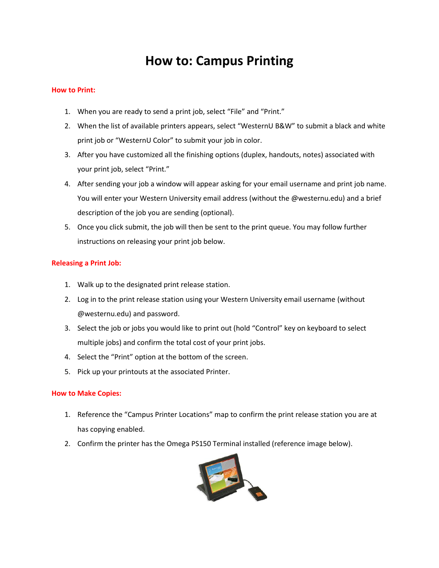# **How to: Campus Printing**

#### **How to Print:**

- 1. When you are ready to send a print job, select "File" and "Print."
- 2. When the list of available printers appears, select "WesternU B&W" to submit a black and white print job or "WesternU Color" to submit your job in color.
- 3. After you have customized all the finishing options (duplex, handouts, notes) associated with your print job, select "Print."
- 4. After sending your job a window will appear asking for your email username and print job name. You will enter your Western University email address (without the @westernu.edu) and a brief description of the job you are sending (optional).
- 5. Once you click submit, the job will then be sent to the print queue. You may follow further instructions on releasing your print job below.

### **Releasing a Print Job:**

- 1. Walk up to the designated print release station.
- 2. Log in to the print release station using your Western University email username (without @westernu.edu) and password.
- 3. Select the job or jobs you would like to print out (hold "Control" key on keyboard to select multiple jobs) and confirm the total cost of your print jobs.
- 4. Select the "Print" option at the bottom of the screen.
- 5. Pick up your printouts at the associated Printer.

### **How to Make Copies:**

- 1. Reference the "Campus Printer Locations" map to confirm the print release station you are at has copying enabled.
- 2. Confirm the printer has the Omega PS150 Terminal installed (reference image below).